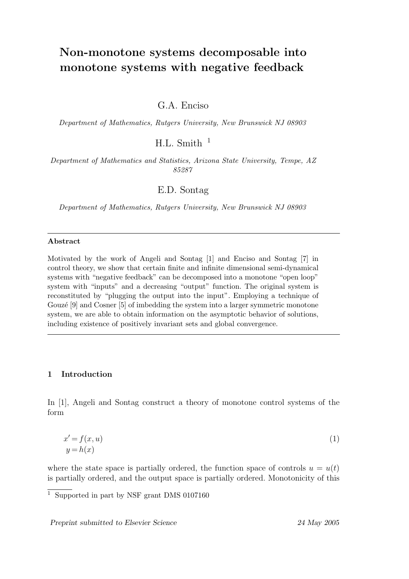# Non-monotone systems decomposable into monotone systems with negative feedback

G.A. Enciso

Department of Mathematics, Rutgers University, New Brunswick NJ 08903

 $H.L.$  Smith  $1$ 

Department of Mathematics and Statistics, Arizona State University, Tempe, AZ 85287

E.D. Sontag

Department of Mathematics, Rutgers University, New Brunswick NJ 08903

#### Abstract

Motivated by the work of Angeli and Sontag [1] and Enciso and Sontag [7] in control theory, we show that certain finite and infinite dimensional semi-dynamical systems with "negative feedback" can be decomposed into a monotone "open loop" system with "inputs" and a decreasing "output" function. The original system is reconstituted by "plugging the output into the input". Employing a technique of Gouzé [9] and Cosner [5] of imbedding the system into a larger symmetric monotone system, we are able to obtain information on the asymptotic behavior of solutions, including existence of positively invariant sets and global convergence.

## 1 Introduction

In [1], Angeli and Sontag construct a theory of monotone control systems of the form

$$
x' = f(x, u)
$$
  
\n
$$
y = h(x)
$$
\n(1)

where the state space is partially ordered, the function space of controls  $u = u(t)$ is partially ordered, and the output space is partially ordered. Monotonicity of this

Preprint submitted to Elsevier Science 24 May 2005

<sup>1</sup> Supported in part by NSF grant DMS 0107160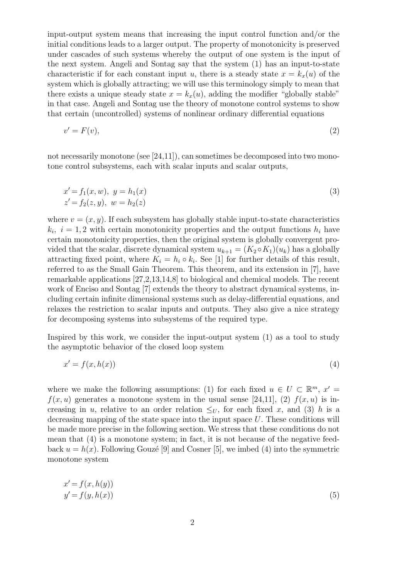input-output system means that increasing the input control function and/or the initial conditions leads to a larger output. The property of monotonicity is preserved under cascades of such systems whereby the output of one system is the input of the next system. Angeli and Sontag say that the system (1) has an input-to-state characteristic if for each constant input u, there is a steady state  $x = k_x(u)$  of the system which is globally attracting; we will use this terminology simply to mean that there exists a unique steady state  $x = k_x(u)$ , adding the modifier "globally stable" in that case. Angeli and Sontag use the theory of monotone control systems to show that certain (uncontrolled) systems of nonlinear ordinary differential equations

$$
v' = F(v),\tag{2}
$$

not necessarily monotone (see [24,11]), can sometimes be decomposed into two monotone control subsystems, each with scalar inputs and scalar outputs,

$$
x' = f_1(x, w), y = h_1(x)
$$
  
\n
$$
z' = f_2(z, y), w = h_2(z)
$$
\n(3)

where  $v = (x, y)$ . If each subsystem has globally stable input-to-state characteristics  $k_i$ ,  $i = 1, 2$  with certain monotonicity properties and the output functions  $h_i$  have certain monotonicity properties, then the original system is globally convergent provided that the scalar, discrete dynamical system  $u_{k+1} = (K_2 \circ K_1)(u_k)$  has a globally attracting fixed point, where  $K_i = h_i \circ k_i$ . See [1] for further details of this result, referred to as the Small Gain Theorem. This theorem, and its extension in [7], have remarkable applications [27,2,13,14,8] to biological and chemical models. The recent work of Enciso and Sontag [7] extends the theory to abstract dynamical systems, including certain infinite dimensional systems such as delay-differential equations, and relaxes the restriction to scalar inputs and outputs. They also give a nice strategy for decomposing systems into subsystems of the required type.

Inspired by this work, we consider the input-output system (1) as a tool to study the asymptotic behavior of the closed loop system

$$
x' = f(x, h(x))
$$
\n<sup>(4)</sup>

where we make the following assumptions: (1) for each fixed  $u \in U \subset \mathbb{R}^m$ ,  $x' =$  $f(x, u)$  generates a monotone system in the usual sense [24,11], (2)  $f(x, u)$  is increasing in u, relative to an order relation  $\leq_U$ , for each fixed x, and (3) h is a decreasing mapping of the state space into the input space  $U$ . These conditions will be made more precise in the following section. We stress that these conditions do not mean that (4) is a monotone system; in fact, it is not because of the negative feedback  $u = h(x)$ . Following Gouzé [9] and Cosner [5], we imbed (4) into the symmetric monotone system

$$
x' = f(x, h(y))
$$
  

$$
y' = f(y, h(x))
$$
 (5)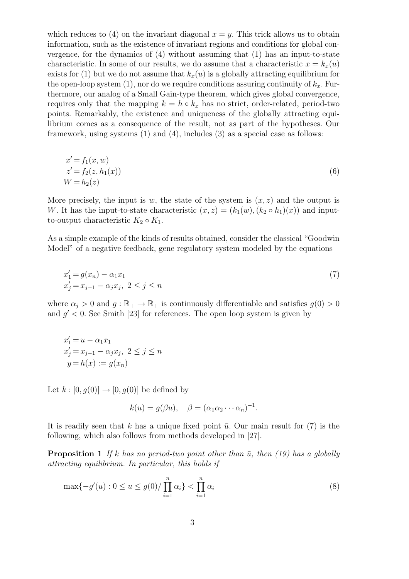which reduces to (4) on the invariant diagonal  $x = y$ . This trick allows us to obtain information, such as the existence of invariant regions and conditions for global convergence, for the dynamics of (4) without assuming that (1) has an input-to-state characteristic. In some of our results, we do assume that a characteristic  $x = k_x(u)$ exists for (1) but we do not assume that  $k_x(u)$  is a globally attracting equilibrium for the open-loop system  $(1)$ , nor do we require conditions assuring continuity of  $k_x$ . Furthermore, our analog of a Small Gain-type theorem, which gives global convergence, requires only that the mapping  $k = h \circ k_x$  has no strict, order-related, period-two points. Remarkably, the existence and uniqueness of the globally attracting equilibrium comes as a consequence of the result, not as part of the hypotheses. Our framework, using systems (1) and (4), includes (3) as a special case as follows:

$$
x' = f_1(x, w)
$$
  
\n
$$
z' = f_2(z, h_1(x))
$$
  
\n
$$
W = h_2(z)
$$
\n(6)

More precisely, the input is w, the state of the system is  $(x, z)$  and the output is W. It has the input-to-state characteristic  $(x, z) = (k_1(w), (k_2 \circ h_1)(x))$  and inputto-output characteristic  $K_2 \circ K_1$ .

As a simple example of the kinds of results obtained, consider the classical "Goodwin Model" of a negative feedback, gene regulatory system modeled by the equations

$$
x'_{1} = g(x_{n}) - \alpha_{1}x_{1}
$$
  
\n
$$
x'_{j} = x_{j-1} - \alpha_{j}x_{j}, \ 2 \leq j \leq n
$$
\n(7)

where  $\alpha_j > 0$  and  $g : \mathbb{R}_+ \to \mathbb{R}_+$  is continuously differentiable and satisfies  $g(0) > 0$ and  $g' < 0$ . See Smith [23] for references. The open loop system is given by

$$
x'_{1} = u - \alpha_{1}x_{1}
$$
  
\n
$$
x'_{j} = x_{j-1} - \alpha_{j}x_{j}, \ 2 \leq j \leq n
$$
  
\n
$$
y = h(x) := g(x_{n})
$$

Let  $k : [0, g(0)] \rightarrow [0, g(0)]$  be defined by

$$
k(u) = g(\beta u), \quad \beta = (\alpha_1 \alpha_2 \cdots \alpha_n)^{-1}.
$$

It is readily seen that k has a unique fixed point  $\bar{u}$ . Our main result for (7) is the following, which also follows from methods developed in [27].

**Proposition 1** If k has no period-two point other than  $\bar{u}$ , then (19) has a globally attracting equilibrium. In particular, this holds if

$$
\max\{-g'(u): 0 \le u \le g(0)/\prod_{i=1}^{n} \alpha_i\} < \prod_{i=1}^{n} \alpha_i \tag{8}
$$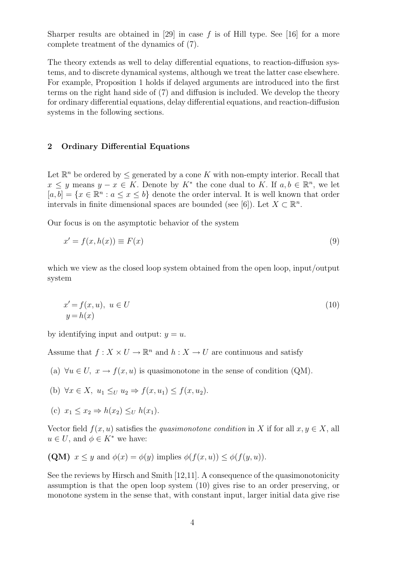Sharper results are obtained in [29] in case f is of Hill type. See [16] for a more complete treatment of the dynamics of (7).

The theory extends as well to delay differential equations, to reaction-diffusion systems, and to discrete dynamical systems, although we treat the latter case elsewhere. For example, Proposition 1 holds if delayed arguments are introduced into the first terms on the right hand side of (7) and diffusion is included. We develop the theory for ordinary differential equations, delay differential equations, and reaction-diffusion systems in the following sections.

## 2 Ordinary Differential Equations

Let  $\mathbb{R}^n$  be ordered by  $\leq$  generated by a cone K with non-empty interior. Recall that  $x \leq y$  means  $y - x \in K$ . Denote by  $K^*$  the cone dual to K. If  $a, b \in \mathbb{R}^n$ , we let  $[a, b] = \{x \in \mathbb{R}^n : a \leq x \leq b\}$  denote the order interval. It is well known that order intervals in finite dimensional spaces are bounded (see [6]). Let  $X \subset \mathbb{R}^n$ .

Our focus is on the asymptotic behavior of the system

$$
x' = f(x, h(x)) \equiv F(x) \tag{9}
$$

which we view as the closed loop system obtained from the open loop, input/output system

$$
x' = f(x, u), \ u \in U
$$
  

$$
y = h(x)
$$
 (10)

by identifying input and output:  $y = u$ .

Assume that  $f: X \times U \to \mathbb{R}^n$  and  $h: X \to U$  are continuous and satisfy

(a)  $\forall u \in U$ ,  $x \to f(x, u)$  is quasimonotone in the sense of condition (QM).

(b) 
$$
\forall x \in X, u_1 \leq_U u_2 \Rightarrow f(x, u_1) \leq f(x, u_2).
$$

(c) 
$$
x_1 \leq x_2 \Rightarrow h(x_2) \leq_U h(x_1)
$$
.

Vector field  $f(x, u)$  satisfies the quasimonotone condition in X if for all  $x, y \in X$ , all  $u \in U$ , and  $\phi \in K^*$  we have:

(QM) 
$$
x \leq y
$$
 and  $\phi(x) = \phi(y)$  implies  $\phi(f(x, u)) \leq \phi(f(y, u))$ .

See the reviews by Hirsch and Smith [12,11]. A consequence of the quasimonotonicity assumption is that the open loop system (10) gives rise to an order preserving, or monotone system in the sense that, with constant input, larger initial data give rise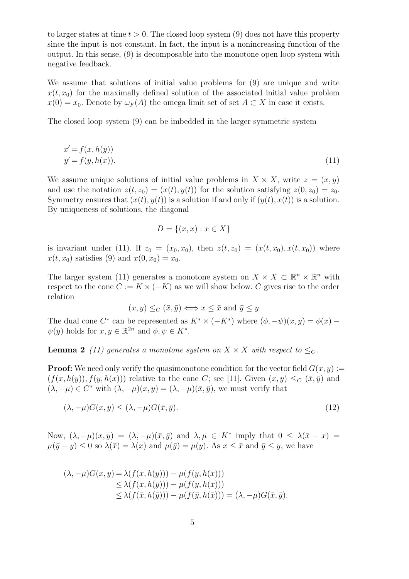to larger states at time  $t > 0$ . The closed loop system (9) does not have this property since the input is not constant. In fact, the input is a nonincreasing function of the output. In this sense, (9) is decomposable into the monotone open loop system with negative feedback.

We assume that solutions of initial value problems for (9) are unique and write  $x(t, x_0)$  for the maximally defined solution of the associated initial value problem  $x(0) = x_0$ . Denote by  $\omega_F(A)$  the omega limit set of set  $A \subset X$  in case it exists.

The closed loop system (9) can be imbedded in the larger symmetric system

$$
x' = f(x, h(y))
$$
  

$$
y' = f(y, h(x)).
$$
 (11)

We assume unique solutions of initial value problems in  $X \times X$ , write  $z = (x, y)$ and use the notation  $z(t, z_0) = (x(t), y(t))$  for the solution satisfying  $z(0, z_0) = z_0$ . Symmetry ensures that  $(x(t), y(t))$  is a solution if and only if  $(y(t), x(t))$  is a solution. By uniqueness of solutions, the diagonal

$$
D = \{(x, x) : x \in X\}
$$

is invariant under (11). If  $z_0 = (x_0, x_0)$ , then  $z(t, z_0) = (x(t, x_0), x(t, x_0))$  where  $x(t, x_0)$  satisfies (9) and  $x(0, x_0) = x_0$ .

The larger system (11) generates a monotone system on  $X \times X \subset \mathbb{R}^n \times \mathbb{R}^n$  with respect to the cone  $C := K \times (-K)$  as we will show below. C gives rise to the order relation

$$
(x, y) \leq_C (\overline{x}, \overline{y}) \Longleftrightarrow x \leq \overline{x} \text{ and } \overline{y} \leq y
$$

The dual cone C<sup>\*</sup> can be represented as  $K^* \times (-K^*)$  where  $(\phi, -\psi)(x, y) = \phi(x) \psi(y)$  holds for  $x, y \in \mathbb{R}^{2n}$  and  $\phi, \psi \in K^*$ .

**Lemma 2** (11) generates a monotone system on  $X \times X$  with respect to  $\leq_C$ .

**Proof:** We need only verify the quasimonotone condition for the vector field  $G(x, y) :=$  $(f(x, h(y)), f(y, h(x)))$  relative to the cone C; see [11]. Given  $(x, y) \leq_C (\bar{x}, \bar{y})$  and  $(\lambda, -\mu) \in C^*$  with  $(\lambda, -\mu)(x, y) = (\lambda, -\mu)(\bar{x}, \bar{y})$ , we must verify that

$$
(\lambda, -\mu)G(x, y) \le (\lambda, -\mu)G(\bar{x}, \bar{y}).\tag{12}
$$

Now,  $(\lambda, -\mu)(x, y) = (\lambda, -\mu)(\bar{x}, \bar{y})$  and  $\lambda, \mu \in K^*$  imply that  $0 \leq \lambda(\bar{x} - x) =$  $\mu(\bar{y}-y) \leq 0$  so  $\lambda(\bar{x}) = \lambda(x)$  and  $\mu(\bar{y}) = \mu(y)$ . As  $x \leq \bar{x}$  and  $\bar{y} \leq y$ , we have

$$
(\lambda, -\mu)G(x, y) = \lambda(f(x, h(y))) - \mu(f(y, h(x)))
$$
  
\n
$$
\leq \lambda(f(x, h(\bar{y}))) - \mu(f(y, h(\bar{x})))
$$
  
\n
$$
\leq \lambda(f(\bar{x}, h(\bar{y}))) - \mu(f(\bar{y}, h(\bar{x}))) = (\lambda, -\mu)G(\bar{x}, \bar{y}).
$$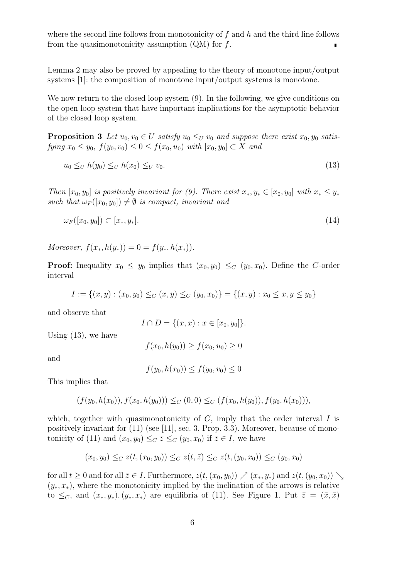where the second line follows from monotonicity of  $f$  and  $h$  and the third line follows from the quasimonotonicity assumption  $(QM)$  for f.  $\blacksquare$ 

Lemma 2 may also be proved by appealing to the theory of monotone input/output systems [1]: the composition of monotone input/output systems is monotone.

We now return to the closed loop system (9). In the following, we give conditions on the open loop system that have important implications for the asymptotic behavior of the closed loop system.

**Proposition 3** Let  $u_0, v_0 \in U$  satisfy  $u_0 \leq_U v_0$  and suppose there exist  $x_0, y_0$  satisfying  $x_0 \le y_0$ ,  $f(y_0, v_0) \le 0 \le f(x_0, u_0)$  with  $[x_0, y_0] \subset X$  and

$$
u_0 \leq_U h(y_0) \leq_U h(x_0) \leq_U v_0. \tag{13}
$$

Then  $[x_0, y_0]$  is positively invariant for (9). There exist  $x_*, y_* \in [x_0, y_0]$  with  $x_* \leq y_*$ such that  $\omega_F([x_0, y_0]) \neq \emptyset$  is compact, invariant and

$$
\omega_F([x_0, y_0]) \subset [x_*, y_*]. \tag{14}
$$

Moreover,  $f(x_*, h(y_*)) = 0 = f(y_*, h(x_*)).$ 

**Proof:** Inequality  $x_0 \leq y_0$  implies that  $(x_0, y_0) \leq_C (y_0, x_0)$ . Define the C-order interval

$$
I := \{(x, y) : (x_0, y_0) \leq_C (x, y) \leq_C (y_0, x_0)\} = \{(x, y) : x_0 \leq x, y \leq y_0\}
$$

and observe that

$$
I \cap D = \{(x, x) : x \in [x_0, y_0]\}.
$$

Using (13), we have

$$
f(x_0, h(y_0)) \ge f(x_0, u_0) \ge 0
$$

and

$$
f(y_0, h(x_0)) \le f(y_0, v_0) \le 0
$$

This implies that

$$
(f(y_0, h(x_0)), f(x_0, h(y_0))) \leq_C (0, 0) \leq_C (f(x_0, h(y_0)), f(y_0, h(x_0))),
$$

which, together with quasimonotonicity of  $G$ , imply that the order interval I is positively invariant for (11) (see [11], sec. 3, Prop. 3.3). Moreover, because of monotonicity of (11) and  $(x_0, y_0) \leq_C \overline{z} \leq_C (y_0, x_0)$  if  $\overline{z} \in I$ , we have

$$
(x_0, y_0) \leq_C z(t, (x_0, y_0)) \leq_C z(t, \overline{z}) \leq_C z(t, (y_0, x_0)) \leq_C (y_0, x_0)
$$

for all  $t \geq 0$  and for all  $\overline{z} \in I$ . Furthermore,  $z(t,(x_0,y_0)) \nearrow (x_*,y_*)$  and  $z(t,(y_0,x_0)) \searrow$  $(y_*, x_*)$ , where the monotonicity implied by the inclination of the arrows is relative to  $\leq_C$ , and  $(x_*, y_*, (y_*, x_*)$  are equilibria of (11). See Figure 1. Put  $\overline{z} = (\overline{x}, \overline{x})$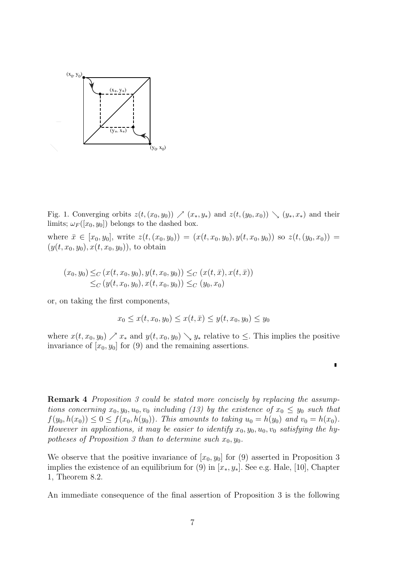

Fig. 1. Converging orbits  $z(t,(x_0,y_0)) \nearrow (x_*,y_*)$  and  $z(t,(y_0,x_0)) \searrow (y_*,x_*)$  and their limits;  $\omega_F([x_0, y_0])$  belongs to the dashed box.

where  $\bar{x} \in [x_0, y_0],$  write  $z(t,(x_0, y_0)) = (x(t, x_0, y_0), y(t, x_0, y_0))$  so  $z(t,(y_0, x_0)) =$  $(y(t, x_0, y_0), x(t, x_0, y_0))$ , to obtain

$$
(x_0, y_0) \leq_C (x(t, x_0, y_0), y(t, x_0, y_0)) \leq_C (x(t, \bar{x}), x(t, \bar{x}))
$$
  

$$
\leq_C (y(t, x_0, y_0), x(t, x_0, y_0)) \leq_C (y_0, x_0)
$$

or, on taking the first components,

$$
x_0 \le x(t, x_0, y_0) \le x(t, \bar{x}) \le y(t, x_0, y_0) \le y_0
$$

where  $x(t, x_0, y_0) \nearrow x_*$  and  $y(t, x_0, y_0) \searrow y_*$  relative to  $\leq$ . This implies the positive invariance of  $[x_0, y_0]$  for (9) and the remaining assertions.

 $\blacksquare$ 

Remark 4 Proposition 3 could be stated more concisely by replacing the assumptions concerning  $x_0, y_0, u_0, v_0$  including (13) by the existence of  $x_0 \le y_0$  such that  $f(y_0, h(x_0)) \leq 0 \leq f(x_0, h(y_0))$ . This amounts to taking  $u_0 = h(y_0)$  and  $v_0 = h(x_0)$ . However in applications, it may be easier to identify  $x_0, y_0, u_0, v_0$  satisfying the hypotheses of Proposition 3 than to determine such  $x_0, y_0$ .

We observe that the positive invariance of  $[x_0, y_0]$  for (9) asserted in Proposition 3 implies the existence of an equilibrium for (9) in  $[x_*, y_*]$ . See e.g. Hale, [10], Chapter 1, Theorem 8.2.

An immediate consequence of the final assertion of Proposition 3 is the following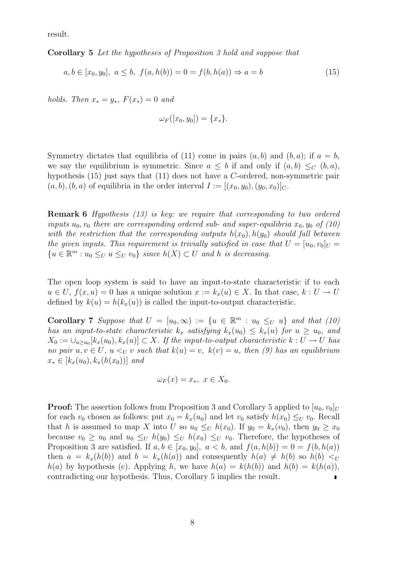result.

Corollary 5 Let the hypotheses of Proposition 3 hold and suppose that

$$
a, b \in [x_0, y_0], \ a \le b, \ f(a, h(b)) = 0 = f(b, h(a)) \Rightarrow a = b \tag{15}
$$

holds. Then  $x_* = y_*$ ,  $F(x_*) = 0$  and

$$
\omega_F([x_0, y_0]) = \{x_*\}.
$$

Symmetry dictates that equilibria of (11) come in pairs  $(a, b)$  and  $(b, a)$ ; if  $a = b$ , we say the equilibrium is symmetric. Since  $a \leq b$  if and only if  $(a, b) \leq_C (b, a)$ , hypothesis (15) just says that (11) does not have a C-ordered, non-symmetric pair  $(a, b), (b, a)$  of equilibria in the order interval  $I := [(x_0, y_0), (y_0, x_0)]_C$ .

Remark 6 Hypothesis (13) is key: we require that corresponding to two ordered inputs  $u_0, v_0$  there are corresponding ordered sub- and super-equilibria  $x_0, y_0$  of (10) with the restriction that the corresponding outputs  $h(x_0)$ ,  $h(y_0)$  should fall between the given inputs. This requirement is trivially satisfied in case that  $U = [u_0, v_0]_U =$  ${u \in \mathbb{R}^m : u_0 \leq_U u \leq_U v_0}$  since  $h(X) \subset U$  and h is decreasing.

The open loop system is said to have an input-to-state characteristic if to each  $u \in U$ ,  $f(x, u) = 0$  has a unique solution  $x := k_x(u) \in X$ . In that case,  $k : U \to U$ defined by  $k(u) = h(k_x(u))$  is called the input-to-output characteristic.

Corollary 7 Suppose that  $U = [u_0, \infty) := \{u \in \mathbb{R}^m : u_0 \leq_U u\}$  and that (10) has an input-to-state characteristic  $k_x$  satisfying  $k_x(u_0) \leq k_x(u)$  for  $u \geq u_0$ , and  $X_0 := \bigcup_{u \geq u_0} [k_x(u_0), k_x(u)] \subset X$ . If the input-to-output characteristic  $k : U \to U$  has no pair  $u, v \in U$ ,  $u \leq_{U} v$  such that  $k(u) = v$ ,  $k(v) = u$ , then (9) has an equilibrium  $x_* \in [k_x(u_0), k_x(h(x_0))]$  and

$$
\omega_F(x) = x_*, \ x \in X_0.
$$

**Proof:** The assertion follows from Proposition 3 and Corollary 5 applied to  $[u_0, v_0]_U$ for each  $v_0$  chosen as follows: put  $x_0 = k_x(u_0)$  and let  $v_0$  satisfy  $h(x_0) \leq_U v_0$ . Recall that h is assumed to map X into U so  $u_0 \leq_U h(x_0)$ . If  $y_0 = k_x(v_0)$ , then  $y_0 \geq x_0$ because  $v_0 \geq u_0$  and  $u_0 \leq_U h(y_0) \leq_U h(x_0) \leq_U v_0$ . Therefore, the hypotheses of Proposition 3 are satisfied. If  $a, b \in [x_0, y_0], a < b$ , and  $f(a, h(b)) = 0 = f(b, h(a))$ then  $a = k_x(h(b))$  and  $b = k_x(h(a))$  and consequently  $h(a) \neq h(b)$  so  $h(b) <sub>U</sub>$  $h(a)$  by hypothesis (c). Applying h, we have  $h(a) = k(h(b))$  and  $h(b) = k(h(a)),$ contradicting our hypothesis. Thus, Corollary 5 implies the result.  $\blacksquare$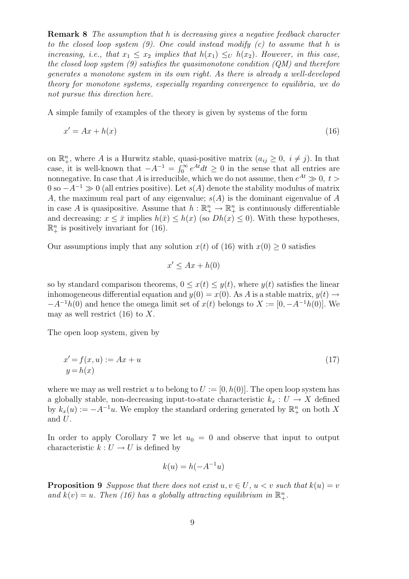Remark 8 The assumption that h is decreasing gives a negative feedback character to the closed loop system  $(9)$ . One could instead modify  $(c)$  to assume that h is increasing, i.e., that  $x_1 \leq x_2$  implies that  $h(x_1) \leq_U h(x_2)$ . However, in this case, the closed loop system  $(9)$  satisfies the quasimonotone condition  $(QM)$  and therefore generates a monotone system in its own right. As there is already a well-developed theory for monotone systems, especially regarding convergence to equilibria, we do not pursue this direction here.

A simple family of examples of the theory is given by systems of the form

$$
x' = Ax + h(x) \tag{16}
$$

on  $\mathbb{R}^n_+$ , where A is a Hurwitz stable, quasi-positive matrix  $(a_{ij} \geq 0, i \neq j)$ . In that case, it is well-known that  $-A^{-1} = \int_0^\infty e^{At} dt \ge 0$  in the sense that all entries are nonnegative. In case that A is irreducible, which we do not assume, then  $e^{At} \gg 0, t >$  $0$  so  $-A^{-1} \gg 0$  (all entries positive). Let  $s(A)$  denote the stability modulus of matrix A, the maximum real part of any eigenvalue;  $s(A)$  is the dominant eigenvalue of A in case A is quasipositive. Assume that  $h: \mathbb{R}^n_+ \to \mathbb{R}^n_+$  is continuously differentiable and decreasing:  $x \leq \bar{x}$  implies  $h(\bar{x}) \leq h(x)$  (so  $Dh(x) \leq 0$ ). With these hypotheses,  $\mathbb{R}^n_+$  is positively invariant for (16).

Our assumptions imply that any solution  $x(t)$  of (16) with  $x(0) \geq 0$  satisfies

$$
x' \le Ax + h(0)
$$

so by standard comparison theorems,  $0 \leq x(t) \leq y(t)$ , where  $y(t)$  satisfies the linear inhomogeneous differential equation and  $y(0) = x(0)$ . As A is a stable matrix,  $y(t) \rightarrow$  $-A^{-1}h(0)$  and hence the omega limit set of  $x(t)$  belongs to  $X := [0, -A^{-1}h(0)]$ . We may as well restrict  $(16)$  to X.

The open loop system, given by

$$
x' = f(x, u) := Ax + u
$$
  
\n
$$
y = h(x)
$$
\n(17)

where we may as well restrict u to belong to  $U := [0, h(0)]$ . The open loop system has a globally stable, non-decreasing input-to-state characteristic  $k_x : U \to X$  defined by  $k_x(u) := -A^{-1}u$ . We employ the standard ordering generated by  $\mathbb{R}^n_+$  on both X and U.

In order to apply Corollary 7 we let  $u_0 = 0$  and observe that input to output characteristic  $k : U \to U$  is defined by

$$
k(u) = h(-A^{-1}u)
$$

**Proposition 9** Suppose that there does not exist  $u, v \in U$ ,  $u < v$  such that  $k(u) = v$ and  $k(v) = u$ . Then (16) has a globally attracting equilibrium in  $\mathbb{R}^n_+$ .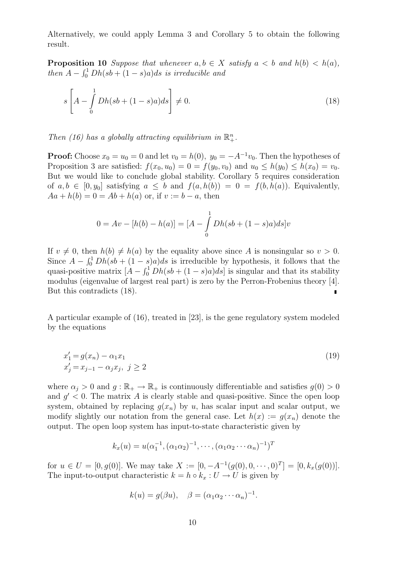Alternatively, we could apply Lemma 3 and Corollary 5 to obtain the following result.

**Proposition 10** Suppose that whenever  $a, b \in X$  satisfy  $a < b$  and  $h(b) < h(a)$ , then  $A - \int_0^1 Dh(sh + (1-s)a)ds$  is irreducible and

$$
s\left[A - \int_{0}^{1} Dh(sb + (1-s)a)ds\right] \neq 0.
$$
\n(18)

Then (16) has a globally attracting equilibrium in  $\mathbb{R}^n_+$ .

**Proof:** Choose  $x_0 = u_0 = 0$  and let  $v_0 = h(0)$ ,  $y_0 = -A^{-1}v_0$ . Then the hypotheses of Proposition 3 are satisfied:  $f(x_0, u_0) = 0 = f(y_0, v_0)$  and  $u_0 \le h(y_0) \le h(x_0) = v_0$ . But we would like to conclude global stability. Corollary 5 requires consideration of  $a, b \in [0, y_0]$  satisfying  $a \leq b$  and  $f(a, h(b)) = 0 = f(b, h(a))$ . Equivalently,  $Aa + h(b) = 0 = Ab + h(a)$  or, if  $v := b - a$ , then

$$
0 = Av - [h(b) - h(a)] = [A - \int_{0}^{1} Dh(sb + (1 - s)a)ds]v
$$

If  $v \neq 0$ , then  $h(b) \neq h(a)$  by the equality above since A is nonsingular so  $v > 0$ . Since  $A - \int_0^1 Dh(sb + (1-s)a)ds$  is irreducible by hypothesis, it follows that the quasi-positive matrix  $[A - \int_0^1 Dh(sh + (1 - s)a)ds]$  is singular and that its stability modulus (eigenvalue of largest real part) is zero by the Perron-Frobenius theory [4]. But this contradicts (18).  $\blacksquare$ 

A particular example of (16), treated in [23], is the gene regulatory system modeled by the equations

$$
x'_{1} = g(x_{n}) - \alpha_{1}x_{1}
$$
  
\n
$$
x'_{j} = x_{j-1} - \alpha_{j}x_{j}, \ j \ge 2
$$
\n(19)

where  $\alpha_j > 0$  and  $g : \mathbb{R}_+ \to \mathbb{R}_+$  is continuously differentiable and satisfies  $g(0) > 0$ and  $g' < 0$ . The matrix A is clearly stable and quasi-positive. Since the open loop system, obtained by replacing  $g(x_n)$  by u, has scalar input and scalar output, we modify slightly our notation from the general case. Let  $h(x) := g(x_n)$  denote the output. The open loop system has input-to-state characteristic given by

$$
k_x(u) = u(\alpha_1^{-1}, (\alpha_1 \alpha_2)^{-1}, \cdots, (\alpha_1 \alpha_2 \cdots \alpha_n)^{-1})^T
$$

for  $u \in U = [0, g(0)]$ . We may take  $X := [0, -A^{-1}(g(0), 0, \dots, 0)^T] = [0, k_x(g(0))]$ . The input-to-output characteristic  $k = h \circ k_x : U \to U$  is given by

$$
k(u) = g(\beta u), \quad \beta = (\alpha_1 \alpha_2 \cdots \alpha_n)^{-1}.
$$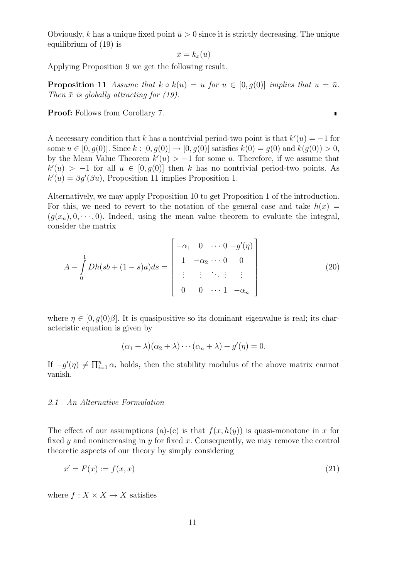Obviously, k has a unique fixed point  $\bar{u} > 0$  since it is strictly decreasing. The unique equilibrium of (19) is

$$
\bar{x}=k_x(\bar{u})
$$

Applying Proposition 9 we get the following result.

**Proposition 11** Assume that  $k \circ k(u) = u$  for  $u \in [0, g(0)]$  implies that  $u = \bar{u}$ . Then  $\bar{x}$  is globally attracting for (19).

Proof: Follows from Corollary 7.

A necessary condition that k has a nontrivial period-two point is that  $k'(u) = -1$  for some  $u \in [0, q(0)]$ . Since  $k : [0, q(0)] \to [0, q(0)]$  satisfies  $k(0) = q(0)$  and  $k(q(0)) > 0$ , by the Mean Value Theorem  $k'(u) > -1$  for some u. Therefore, if we assume that  $k'(u) > -1$  for all  $u \in [0, g(0)]$  then k has no nontrivial period-two points. As  $k'(u) = \beta g'(\beta u)$ , Proposition 11 implies Proposition 1.

Alternatively, we may apply Proposition 10 to get Proposition 1 of the introduction. For this, we need to revert to the notation of the general case and take  $h(x) =$  $(g(x_n), 0, \dots, 0)$ . Indeed, using the mean value theorem to evaluate the integral, consider the matrix

$$
A - \int_{0}^{1} Dh(sb + (1 - s)a)ds = \begin{bmatrix} -\alpha_1 & 0 & \cdots & 0 & -g'(\eta) \\ 1 & -\alpha_2 & \cdots & 0 & 0 \\ \vdots & \vdots & \ddots & \vdots & \vdots \\ 0 & 0 & \cdots & 1 & -\alpha_n \end{bmatrix}
$$
(20)

where  $\eta \in [0, g(0)\beta]$ . It is quasipositive so its dominant eigenvalue is real; its characteristic equation is given by

$$
(\alpha_1 + \lambda)(\alpha_2 + \lambda) \cdots (\alpha_n + \lambda) + g'(\eta) = 0.
$$

If  $-g'(\eta) \neq \prod_{i=1}^n \alpha_i$  holds, then the stability modulus of the above matrix cannot vanish.

## 2.1 An Alternative Formulation

The effect of our assumptions (a)-(c) is that  $f(x, h(y))$  is quasi-monotone in x for fixed y and nonincreasing in y for fixed x. Consequently, we may remove the control theoretic aspects of our theory by simply considering

$$
x' = F(x) := f(x, x) \tag{21}
$$

where  $f: X \times X \rightarrow X$  satisfies

 $\blacksquare$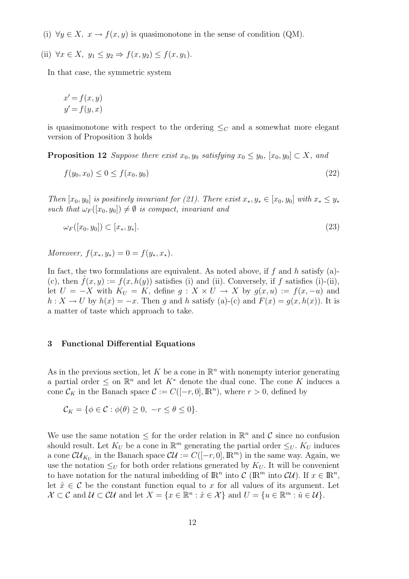- (i)  $\forall y \in X$ ,  $x \to f(x, y)$  is quasimonotone in the sense of condition (QM).
- (ii)  $\forall x \in X, y_1 \leq y_2 \Rightarrow f(x, y_2) \leq f(x, y_1)$ .

In that case, the symmetric system

$$
x' = f(x, y)
$$
  

$$
y' = f(y, x)
$$

is quasimonotone with respect to the ordering  $\leq_C$  and a somewhat more elegant version of Proposition 3 holds

**Proposition 12** Suppose there exist  $x_0, y_0$  satisfying  $x_0 \leq y_0$ ,  $[x_0, y_0] \subset X$ , and

$$
f(y_0, x_0) \le 0 \le f(x_0, y_0) \tag{22}
$$

Then  $[x_0, y_0]$  is positively invariant for (21). There exist  $x_*, y_* \in [x_0, y_0]$  with  $x_* \leq y_*$ such that  $\omega_F([x_0, y_0]) \neq \emptyset$  is compact, invariant and

$$
\omega_F([x_0, y_0]) \subset [x_*, y_*]. \tag{23}
$$

Moreover,  $f(x_*, y_*) = 0 = f(y_*, x_*)$ .

In fact, the two formulations are equivalent. As noted above, if  $f$  and  $h$  satisfy (a)-(c), then  $f(x, y) := f(x, h(y))$  satisfies (i) and (ii). Conversely, if f satisfies (i)-(ii), let  $U = -X$  with  $K_U = K$ , define  $g: X \times U \to X$  by  $g(x, u) := f(x, -u)$  and  $h: X \to U$  by  $h(x) = -x$ . Then g and h satisfy (a)-(c) and  $F(x) = g(x, h(x))$ . It is a matter of taste which approach to take.

### 3 Functional Differential Equations

As in the previous section, let K be a cone in  $\mathbb{R}^n$  with nonempty interior generating a partial order  $\leq$  on  $\mathbb{R}^n$  and let  $K^*$  denote the dual cone. The cone K induces a cone  $\mathcal{C}_K$  in the Banach space  $\mathcal{C} := C([-r, 0], \mathbb{R}^n)$ , where  $r > 0$ , defined by

$$
\mathcal{C}_K = \{ \phi \in \mathcal{C} : \phi(\theta) \ge 0, \ -r \le \theta \le 0 \}.
$$

We use the same notation  $\leq$  for the order relation in  $\mathbb{R}^n$  and C since no confusion should result. Let  $K_U$  be a cone in  $\mathbb{R}^m$  generating the partial order  $\leq_U$ .  $K_U$  induces a cone  $\mathcal{U}_{K_U}$  in the Banach space  $\mathcal{U} := C([-r, 0], \mathbb{R}^m)$  in the same way. Again, we use the notation  $\leq_U$  for both order relations generated by  $K_U$ . It will be convenient to have notation for the natural imbedding of  $\mathbb{R}^n$  into  $\mathcal{C}(\mathbb{R}^m)$  into  $\mathcal{CU})$ . If  $x \in \mathbb{R}^n$ , let  $\hat{x} \in \mathcal{C}$  be the constant function equal to x for all values of its argument. Let  $\mathcal{X} \subset \mathcal{C}$  and  $\mathcal{U} \subset \mathcal{CU}$  and let  $X = \{x \in \mathbb{R}^n : \hat{x} \in \mathcal{X}\}$  and  $U = \{u \in \mathbb{R}^m : \hat{u} \in \mathcal{U}\}.$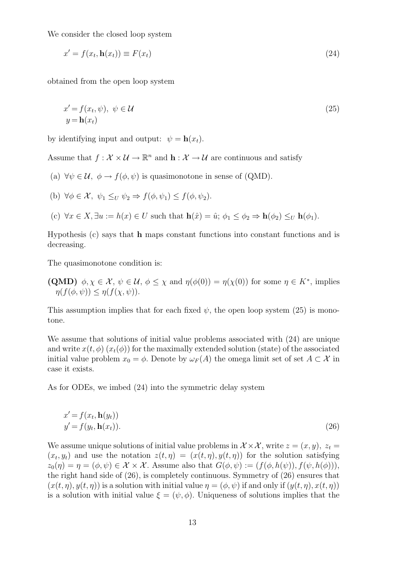We consider the closed loop system

$$
x' = f(x_t, \mathbf{h}(x_t)) \equiv F(x_t) \tag{24}
$$

obtained from the open loop system

$$
x' = f(x_t, \psi), \ \psi \in \mathcal{U}
$$
  
 
$$
y = \mathbf{h}(x_t)
$$
 (25)

by identifying input and output:  $\psi = \mathbf{h}(x_t)$ .

Assume that  $f: \mathcal{X} \times \mathcal{U} \to \mathbb{R}^n$  and  $\mathbf{h}: \mathcal{X} \to \mathcal{U}$  are continuous and satisfy

- (a)  $\forall \psi \in \mathcal{U}, \ \phi \rightarrow f(\phi, \psi)$  is quasimonotone in sense of (QMD).
- (b)  $\forall \phi \in \mathcal{X}, \psi_1 \leq_U \psi_2 \Rightarrow f(\phi, \psi_1) \leq f(\phi, \psi_2).$
- (c)  $\forall x \in X, \exists u := h(x) \in U$  such that  $\mathbf{h}(\hat{x}) = \hat{u}; \phi_1 \leq \phi_2 \Rightarrow \mathbf{h}(\phi_2) \leq_U \mathbf{h}(\phi_1)$ .

Hypothesis (c) says that h maps constant functions into constant functions and is decreasing.

The quasimonotone condition is:

(QMD)  $\phi, \chi \in \mathcal{X}, \psi \in \mathcal{U}, \phi \leq \chi$  and  $\eta(\phi(0)) = \eta(\chi(0))$  for some  $\eta \in K^*$ , implies  $\eta(f(\phi, \psi)) \leq \eta(f(\chi, \psi)).$ 

This assumption implies that for each fixed  $\psi$ , the open loop system (25) is monotone.

We assume that solutions of initial value problems associated with (24) are unique and write  $x(t, \phi)$   $(x_t(\phi))$  for the maximally extended solution (state) of the associated initial value problem  $x_0 = \phi$ . Denote by  $\omega_F(A)$  the omega limit set of set  $A \subset \mathcal{X}$  in case it exists.

As for ODEs, we imbed (24) into the symmetric delay system

$$
x' = f(x_t, \mathbf{h}(y_t))
$$
  

$$
y' = f(y_t, \mathbf{h}(x_t)).
$$
 (26)

We assume unique solutions of initial value problems in  $\mathcal{X} \times \mathcal{X}$ , write  $z = (x, y)$ ,  $z_t =$  $(x_t, y_t)$  and use the notation  $z(t, \eta) = (x(t, \eta), y(t, \eta))$  for the solution satisfying  $z_0(\eta) = \eta = (\phi, \psi) \in \mathcal{X} \times \mathcal{X}$ . Assume also that  $G(\phi, \psi) := (f(\phi, h(\psi)), f(\psi, h(\phi))),$ the right hand side of (26), is completely continuous. Symmetry of (26) ensures that  $(x(t, \eta), y(t, \eta))$  is a solution with initial value  $\eta = (\phi, \psi)$  if and only if  $(y(t, \eta), x(t, \eta))$ is a solution with initial value  $\xi = (\psi, \phi)$ . Uniqueness of solutions implies that the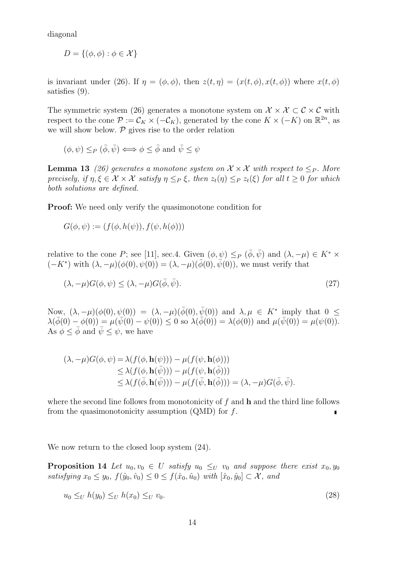diagonal

$$
D = \{(\phi, \phi) : \phi \in \mathcal{X}\}\
$$

is invariant under (26). If  $\eta = (\phi, \phi)$ , then  $z(t, \eta) = (x(t, \phi), x(t, \phi))$  where  $x(t, \phi)$ satisfies (9).

The symmetric system (26) generates a monotone system on  $\mathcal{X} \times \mathcal{X} \subset \mathcal{C} \times \mathcal{C}$  with respect to the cone  $\mathcal{P} := \mathcal{C}_K \times (-\mathcal{C}_K)$ , generated by the cone  $K \times (-K)$  on  $\mathbb{R}^{2n}$ , as we will show below.  $P$  gives rise to the order relation

$$
(\phi, \psi) \leq_P (\bar{\phi}, \bar{\psi}) \iff \phi \leq \bar{\phi} \text{ and } \bar{\psi} \leq \psi
$$

**Lemma 13** (26) generates a monotone system on  $\mathcal{X} \times \mathcal{X}$  with respect to  $\leq_P$ . More precisely, if  $\eta, \xi \in \mathcal{X} \times \mathcal{X}$  satisfy  $\eta \leq_P \xi$ , then  $z_t(\eta) \leq_P z_t(\xi)$  for all  $t \geq 0$  for which both solutions are defined.

Proof: We need only verify the quasimonotone condition for

$$
G(\phi, \psi) := (f(\phi, h(\psi)), f(\psi, h(\phi)))
$$

relative to the cone P; see [11], sec.4. Given  $(\phi, \psi) \leq_P (\bar{\phi}, \bar{\psi})$  and  $(\lambda, -\mu) \in K^* \times$  $(-K^*)$  with  $(\lambda, -\mu)(\phi(0), \psi(0)) = (\lambda, -\mu)(\bar{\phi}(0), \bar{\psi}(0))$ , we must verify that

$$
(\lambda, -\mu)G(\phi, \psi) \le (\lambda, -\mu)G(\bar{\phi}, \bar{\psi}).
$$
\n(27)

Now,  $(\lambda, -\mu)(\phi(0), \psi(0)) = (\lambda, -\mu)(\bar{\phi}(0), \bar{\psi}(0))$  and  $\lambda, \mu \in K^*$  imply that  $0 \leq$  $\lambda(\bar{\phi}(0) - \phi(0)) = \mu(\bar{\psi}(0) - \psi(0)) \leq 0$  so  $\lambda(\bar{\phi}(0)) = \lambda(\phi(0))$  and  $\mu(\bar{\psi}(0)) = \mu(\psi(0)).$ As  $\phi \leq \bar{\phi}$  and  $\bar{\psi} \leq \psi$ , we have

$$
(\lambda, -\mu)G(\phi, \psi) = \lambda(f(\phi, \mathbf{h}(\psi))) - \mu(f(\psi, \mathbf{h}(\phi)))
$$
  
\n
$$
\leq \lambda(f(\phi, \mathbf{h}(\bar{\psi}))) - \mu(f(\psi, \mathbf{h}(\bar{\phi})))
$$
  
\n
$$
\leq \lambda(f(\bar{\phi}, \mathbf{h}(\bar{\psi}))) - \mu(f(\bar{\psi}, \mathbf{h}(\bar{\phi}))) = (\lambda, -\mu)G(\bar{\phi}, \bar{\psi}).
$$

where the second line follows from monotonicity of  $f$  and  $h$  and the third line follows from the quasimonotonicity assumption  $(QMD)$  for f.  $\blacksquare$ 

We now return to the closed loop system  $(24)$ .

**Proposition 14** Let  $u_0, v_0 \in U$  satisfy  $u_0 \leq_U v_0$  and suppose there exist  $x_0, y_0$ satisfying  $x_0 \le y_0$ ,  $f(\hat{y}_0, \hat{v}_0) \le 0 \le f(\hat{x}_0, \hat{u}_0)$  with  $[\hat{x}_0, \hat{y}_0] \subset \mathcal{X}$ , and

$$
u_0 \leq_U h(y_0) \leq_U h(x_0) \leq_U v_0. \tag{28}
$$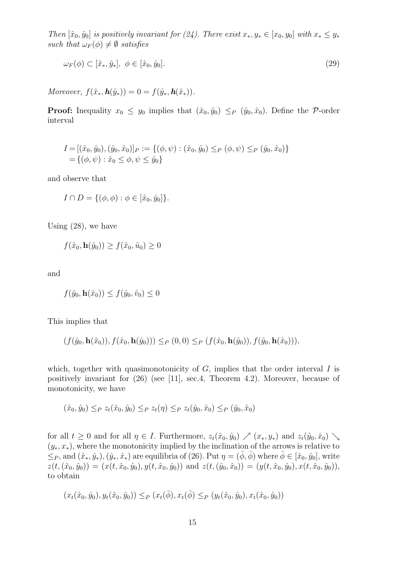Then  $[\hat{x}_0, \hat{y}_0]$  is positively invariant for (24). There exist  $x_*, y_* \in [x_0, y_0]$  with  $x_* \leq y_*$ such that  $\omega_F(\phi) \neq \emptyset$  satisfies

$$
\omega_F(\phi) \subset [\hat{x}_*, \hat{y}_*], \ \phi \in [\hat{x}_0, \hat{y}_0]. \tag{29}
$$

Moreover,  $f(\hat{x}_*, h(\hat{y}_*)) = 0 = f(\hat{y}_*, h(\hat{x}_*))$ .

**Proof:** Inequality  $x_0 \leq y_0$  implies that  $(\hat{x}_0, \hat{y}_0) \leq_P (\hat{y}_0, \hat{x}_0)$ . Define the P-order interval

$$
I = [(\hat{x}_0, \hat{y}_0), (\hat{y}_0, \hat{x}_0)]_P := \{(\phi, \psi) : (\hat{x}_0, \hat{y}_0) \leq_P (\phi, \psi) \leq_P (\hat{y}_0, \hat{x}_0) \}
$$
  
=  $\{(\phi, \psi) : \hat{x}_0 \leq \phi, \psi \leq \hat{y}_0\}$ 

and observe that

$$
I \cap D = \{ (\phi, \phi) : \phi \in [\hat{x}_0, \hat{y}_0] \}.
$$

Using (28), we have

$$
f(\hat{x}_0, \mathbf{h}(\hat{y}_0)) \ge f(\hat{x}_0, \hat{u}_0) \ge 0
$$

and

$$
f(\hat{y}_0, \mathbf{h}(\hat{x}_0)) \le f(\hat{y}_0, \hat{v}_0) \le 0
$$

This implies that

$$
(f(\hat{y}_0, \mathbf{h}(\hat{x}_0)), f(\hat{x}_0, \mathbf{h}(\hat{y}_0))) \leq_P (0, 0) \leq_P (f(\hat{x}_0, \mathbf{h}(\hat{y}_0)), f(\hat{y}_0, \mathbf{h}(\hat{x}_0))),
$$

which, together with quasimonotonicity of  $G$ , implies that the order interval  $I$  is positively invariant for (26) (see [11], sec.4, Theorem 4.2). Moreover, because of monotonicity, we have

$$
(\hat{x}_0, \hat{y}_0) \leq_P z_t(\hat{x}_0, \hat{y}_0) \leq_P z_t(\eta) \leq_P z_t(\hat{y}_0, \hat{x}_0) \leq_P (\hat{y}_0, \hat{x}_0)
$$

for all  $t \geq 0$  and for all  $\eta \in I$ . Furthermore,  $z_t(\hat{x}_0, \hat{y}_0) \nearrow (x_*, y_*)$  and  $z_t(\hat{y}_0, \hat{x}_0) \searrow$  $(y_*, x_*)$ , where the monotonicity implied by the inclination of the arrows is relative to  $\leq_P$ , and  $(\hat{x}_*, \hat{y}_*, (\hat{y}_*, \hat{x}_*)$  are equilibria of (26). Put  $\eta = (\bar{\phi}, \bar{\phi})$  where  $\bar{\phi} \in [\hat{x}_0, \hat{y}_0]$ , write  $z(t,(\hat{x}_0, \hat{y}_0)) = (x(t, \hat{x}_0, \hat{y}_0), y(t, \hat{x}_0, \hat{y}_0))$  and  $z(t,(\hat{y}_0, \hat{x}_0)) = (y(t, \hat{x}_0, \hat{y}_0), x(t, \hat{x}_0, \hat{y}_0)),$ to obtain

$$
(x_t(\hat{x}_0, \hat{y}_0), y_t(\hat{x}_0, \hat{y}_0)) \leq_P (x_t(\bar{\phi}), x_t(\bar{\phi}) \leq_P (y_t(\hat{x}_0, \hat{y}_0), x_t(\hat{x}_0, \hat{y}_0))
$$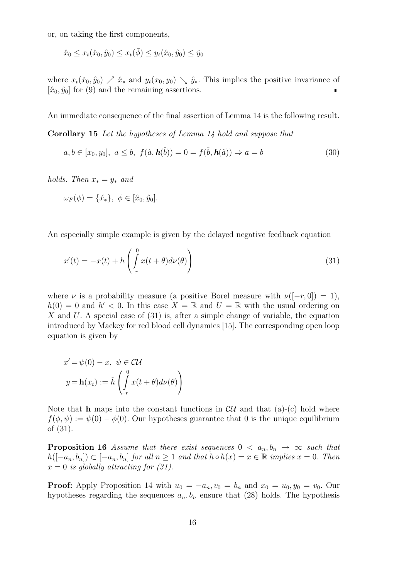or, on taking the first components,

$$
\hat{x}_0 \le x_t(\hat{x}_0, \hat{y}_0) \le x_t(\bar{\phi}) \le y_t(\hat{x}_0, \hat{y}_0) \le \hat{y}_0
$$

where  $x_t(\hat{x}_0, \hat{y}_0) \nearrow \hat{x}_*$  and  $y_t(x_0, y_0) \searrow \hat{y}_*$ . This implies the positive invariance of  $[\hat{x}_0, \hat{y}_0]$  for (9) and the remaining assertions.

An immediate consequence of the final assertion of Lemma 14 is the following result.

Corollary 15 Let the hypotheses of Lemma 14 hold and suppose that

$$
a, b \in [x_0, y_0], \ a \le b, \ f(\hat{a}, \mathbf{h}(\hat{b})) = 0 = f(\hat{b}, \mathbf{h}(\hat{a})) \Rightarrow a = b \tag{30}
$$

holds. Then  $x_* = y_*$  and

$$
\omega_F(\phi) = \{\hat{x}_*\}, \ \phi \in [\hat{x}_0, \hat{y}_0].
$$

An especially simple example is given by the delayed negative feedback equation

$$
x'(t) = -x(t) + h\left(\int_{-r}^{0} x(t+\theta)d\nu(\theta)\right)
$$
\n(31)

where  $\nu$  is a probability measure (a positive Borel measure with  $\nu([-r, 0]) = 1$ ),  $h(0) = 0$  and  $h' < 0$ . In this case  $X = \mathbb{R}$  and  $U = \mathbb{R}$  with the usual ordering on X and U. A special case of  $(31)$  is, after a simple change of variable, the equation introduced by Mackey for red blood cell dynamics [15]. The corresponding open loop equation is given by

$$
x' = \psi(0) - x, \ \psi \in \mathcal{CU}
$$

$$
y = \mathbf{h}(x_t) := \hat{h} \left( \int_{-r}^{0} x(t + \theta) d\nu(\theta) \right)
$$

Note that **h** maps into the constant functions in  $\mathcal{CU}$  and that (a)-(c) hold where  $f(\phi, \psi) := \psi(0) - \phi(0)$ . Our hypotheses guarantee that 0 is the unique equilibrium of (31).

**Proposition 16** Assume that there exist sequences  $0 < a_n, b_n \rightarrow \infty$  such that  $h([-a_n, b_n]) \subset [-a_n, b_n]$  for all  $n \geq 1$  and that  $h \circ h(x) = x \in \mathbb{R}$  implies  $x = 0$ . Then  $x = 0$  is globally attracting for (31).

**Proof:** Apply Proposition 14 with  $u_0 = -a_n, v_0 = b_n$  and  $x_0 = u_0, y_0 = v_0$ . Our hypotheses regarding the sequences  $a_n, b_n$  ensure that (28) holds. The hypothesis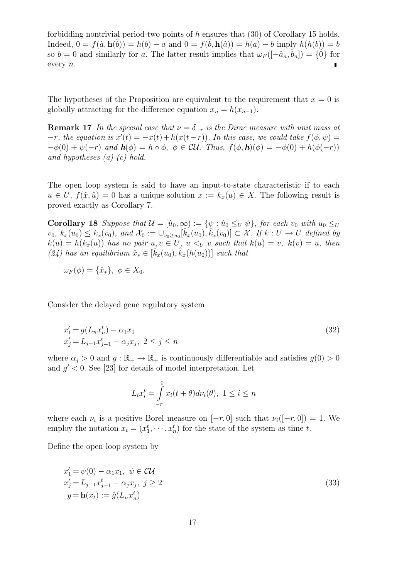forbidding nontrivial period-two points of h ensures that  $(30)$  of Corollary 15 holds. Indeed,  $0 = f(\hat{a}, h(\hat{b})) = h(b) - a$  and  $0 = f(\hat{b}, h(\hat{a})) = h(a) - b$  imply  $h(h(b)) = b$ so  $b = 0$  and similarly for a. The latter result implies that  $\omega_F(-\hat{a}_n, \hat{b}_n) = \{0\}$  for every n.

The hypotheses of the Proposition are equivalent to the requirement that  $x = 0$  is globally attracting for the difference equation  $x_n = h(x_{n-1})$ .

**Remark 17** In the special case that  $\nu = \delta_{-r}$  is the Dirac measure with unit mass at  $-r$ , the equation is  $x'(t) = -x(t) + h(x(t-r))$ . In this case, we could take  $f(\phi, \psi) =$  $-\phi(0) + \psi(-r)$  and  $h(\phi) = h \circ \phi$ ,  $\phi \in \mathcal{CU}$ . Thus,  $f(\phi, h)(\phi) = -\phi(0) + h(\phi(-r))$ and hypotheses  $(a)-(c)$  hold.

The open loop system is said to have an input-to-state characteristic if to each  $u \in U$ ,  $f(\hat{x}, \hat{u}) = 0$  has a unique solution  $x := k_x(u) \in X$ . The following result is proved exactly as Corollary 7.

Corollary 18 Suppose that  $\mathcal{U} = [\hat{u}_0, \infty) := \{ \psi : \hat{u}_0 \leq_U \psi \}$ , for each  $v_0$  with  $u_0 \leq_U$  $v_0, k_x(u_0) \leq k_x(v_0)$ , and  $\mathcal{X}_0 := \bigcup_{v_0 \geq u_0} [\hat{k}_x(u_0), \hat{k}_x(v_0)] \subset \mathcal{X}$ . If  $k : U \to U$  defined by  $k(u) = h(k_x(u))$  has no pair  $u, v \in U$ ,  $u \lt v$  such that  $k(u) = v$ ,  $k(v) = u$ , then (24) has an equilibrium  $\hat{x}_* \in [\hat{k}_x(u_0), \hat{k}_x(h(u_0))]$  such that

$$
\omega_F(\phi) = \{\hat{x}_*\}, \ \phi \in X_0.
$$

Consider the delayed gene regulatory system

$$
x'_{1} = g(L_{n}x_{n}^{t}) - \alpha_{1}x_{1}
$$
  
\n
$$
x'_{j} = L_{j-1}x_{j-1}^{t} - \alpha_{j}x_{j}, \ 2 \leq j \leq n
$$
\n(32)

where  $\alpha_i > 0$  and  $g : \mathbb{R}_+ \to \mathbb{R}_+$  is continuously differentiable and satisfies  $g(0) > 0$ and  $g' < 0$ . See [23] for details of model interpretation. Let

$$
L_i x_i^t = \int\limits_{-r}^0 x_i(t+\theta) d\nu_i(\theta), \ 1 \le i \le n
$$

where each  $\nu_i$  is a positive Borel measure on  $[-r, 0]$  such that  $\nu_i([-r, 0]) = 1$ . We employ the notation  $x_t = (x_1^t, \dots, x_n^t)$  for the state of the system as time t.

Define the open loop system by

$$
x'_{1} = \psi(0) - \alpha_{1}x_{1}, \quad \psi \in \mathcal{CU}
$$
  
\n
$$
x'_{j} = L_{j-1}x^{t}_{j-1} - \alpha_{j}x_{j}, \quad j \ge 2
$$
  
\n
$$
y = \mathbf{h}(x_{t}) := \hat{g}(L_{n}x_{n}^{t})
$$
\n(33)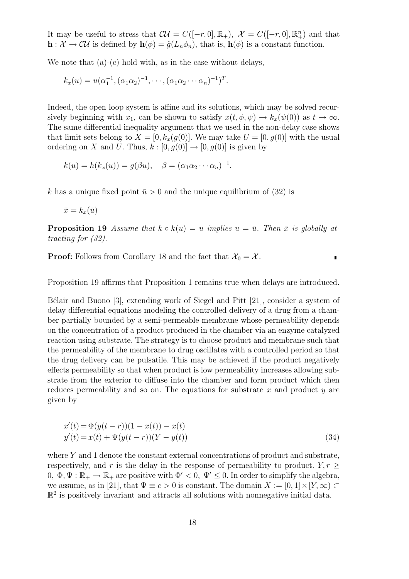It may be useful to stress that  $\mathcal{CU} = C([-r, 0], \mathbb{R}_+)$ ,  $\mathcal{X} = C([-r, 0], \mathbb{R}_+^n)$  and that  $\mathbf{h}: \mathcal{X} \to \mathcal{CU}$  is defined by  $\mathbf{h}(\phi) = \hat{g}(L_n \phi_n)$ , that is,  $\mathbf{h}(\phi)$  is a constant function.

We note that (a)-(c) hold with, as in the case without delays,

$$
k_x(u) = u(\alpha_1^{-1}, (\alpha_1 \alpha_2)^{-1}, \cdots, (\alpha_1 \alpha_2 \cdots \alpha_n)^{-1})^T.
$$

Indeed, the open loop system is affine and its solutions, which may be solved recursively beginning with  $x_1$ , can be shown to satisfy  $x(t, \phi, \psi) \to k_x(\psi(0))$  as  $t \to \infty$ . The same differential inequality argument that we used in the non-delay case shows that limit sets belong to  $X = [0, k_x(g(0))]$ . We may take  $U = [0, g(0)]$  with the usual ordering on X and U. Thus,  $k : [0, g(0)] \rightarrow [0, g(0)]$  is given by

$$
k(u) = h(k_x(u)) = g(\beta u), \quad \beta = (\alpha_1 \alpha_2 \cdots \alpha_n)^{-1}.
$$

k has a unique fixed point  $\bar{u} > 0$  and the unique equilibrium of (32) is

 $\bar{x} = k_r(\bar{u})$ 

**Proposition 19** Assume that  $k \circ k(u) = u$  implies  $u = \bar{u}$ . Then  $\bar{x}$  is globally attracting for (32).

**Proof:** Follows from Corollary 18 and the fact that  $\mathcal{X}_0 = \mathcal{X}$ .

 $\blacksquare$ 

Proposition 19 affirms that Proposition 1 remains true when delays are introduced.

Bélair and Buono  $[3]$ , extending work of Siegel and Pitt  $[21]$ , consider a system of delay differential equations modeling the controlled delivery of a drug from a chamber partially bounded by a semi-permeable membrane whose permeability depends on the concentration of a product produced in the chamber via an enzyme catalyzed reaction using substrate. The strategy is to choose product and membrane such that the permeability of the membrane to drug oscillates with a controlled period so that the drug delivery can be pulsatile. This may be achieved if the product negatively effects permeability so that when product is low permeability increases allowing substrate from the exterior to diffuse into the chamber and form product which then reduces permeability and so on. The equations for substrate  $x$  and product  $y$  are given by

$$
x'(t) = \Phi(y(t-r))(1 - x(t)) - x(t)
$$
  
\n
$$
y'(t) = x(t) + \Psi(y(t-r))(Y - y(t))
$$
\n(34)

where  $Y$  and 1 denote the constant external concentrations of product and substrate, respectively, and r is the delay in the response of permeability to product.  $Y, r$ 0,  $\Phi, \Psi : \mathbb{R}_+ \to \mathbb{R}_+$  are positive with  $\Phi' < 0$ ,  $\Psi' \leq 0$ . In order to simplify the algebra, we assume, as in [21], that  $\Psi \equiv c > 0$  is constant. The domain  $X := [0, 1] \times [Y, \infty) \subset$  $\mathbb{R}^2$  is positively invariant and attracts all solutions with nonnegative initial data.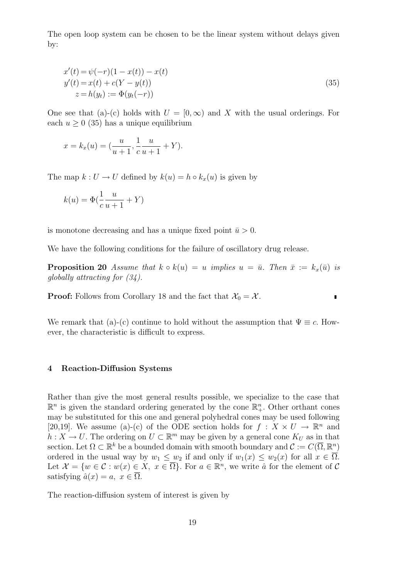The open loop system can be chosen to be the linear system without delays given by:

$$
x'(t) = \psi(-r)(1 - x(t)) - x(t)
$$
  
\n
$$
y'(t) = x(t) + c(Y - y(t))
$$
  
\n
$$
z = h(y_t) := \Phi(y_t(-r))
$$
\n(35)

One see that (a)-(c) holds with  $U = [0, \infty)$  and X with the usual orderings. For each  $u \geq 0$  (35) has a unique equilibrium

$$
x = k_x(u) = \left(\frac{u}{u+1}, \frac{1}{c}\frac{u}{u+1} + Y\right).
$$

The map  $k: U \to U$  defined by  $k(u) = h \circ k_x(u)$  is given by

$$
k(u) = \Phi\left(\frac{1}{c}\frac{u}{u+1} + Y\right)
$$

is monotone decreasing and has a unique fixed point  $\bar{u} > 0$ .

We have the following conditions for the failure of oscillatory drug release.

**Proposition 20** Assume that  $k \circ k(u) = u$  implies  $u = \bar{u}$ . Then  $\bar{x} := k_x(\bar{u})$  is globally attracting for (34).

 $\blacksquare$ 

**Proof:** Follows from Corollary 18 and the fact that  $\mathcal{X}_0 = \mathcal{X}$ .

We remark that (a)-(c) continue to hold without the assumption that  $\Psi \equiv c$ . However, the characteristic is difficult to express.

#### 4 Reaction-Diffusion Systems

Rather than give the most general results possible, we specialize to the case that  $\mathbb{R}^n$  is given the standard ordering generated by the cone  $\mathbb{R}^n_+$ . Other orthant cones may be substituted for this one and general polyhedral cones may be used following [20,19]. We assume (a)-(c) of the ODE section holds for  $f: X \times U \to \mathbb{R}^n$  and  $h: X \to U$ . The ordering on  $U \subset \mathbb{R}^m$  may be given by a general cone  $K_U$  as in that section. Let  $\Omega \subset \mathbb{R}^k$  be a bounded domain with smooth boundary and  $\mathcal{C} := C(\overline{\Omega}, \mathbb{R}^n)$ ordered in the usual way by  $w_1 \leq w_2$  if and only if  $w_1(x) \leq w_2(x)$  for all  $x \in \overline{\Omega}$ . Let  $\mathcal{X} = \{w \in \mathcal{C} : w(x) \in X, x \in \overline{\Omega}\}$ . For  $a \in \mathbb{R}^n$ , we write  $\hat{a}$  for the element of  $\mathcal{C}$ satisfying  $\hat{a}(x) = a, x \in \overline{\Omega}$ .

The reaction-diffusion system of interest is given by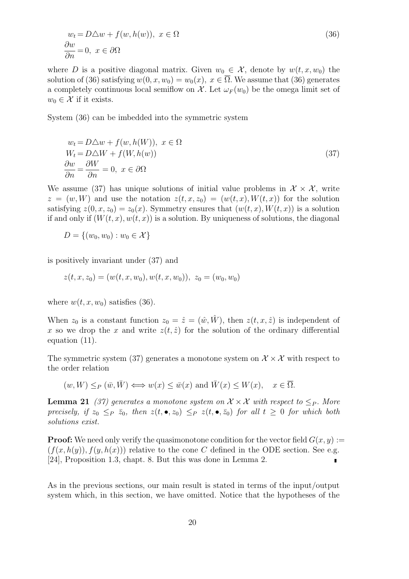$$
w_t = D\Delta w + f(w, h(w)), \ x \in \Omega
$$
  
\n
$$
\frac{\partial w}{\partial n} = 0, \ x \in \partial\Omega
$$
\n(36)

where D is a positive diagonal matrix. Given  $w_0 \in \mathcal{X}$ , denote by  $w(t, x, w_0)$  the solution of (36) satisfying  $w(0, x, w_0) = w_0(x), x \in \overline{\Omega}$ . We assume that (36) generates a completely continuous local semiflow on X. Let  $\omega_F(w_0)$  be the omega limit set of  $w_0 \in \mathcal{X}$  if it exists.

System (36) can be imbedded into the symmetric system

$$
w_t = D\Delta w + f(w, h(W)), \ x \in \Omega
$$
  
\n
$$
W_t = D\Delta W + f(W, h(w))
$$
  
\n
$$
\frac{\partial w}{\partial n} = \frac{\partial W}{\partial n} = 0, \ x \in \partial\Omega
$$
\n(37)

We assume (37) has unique solutions of initial value problems in  $\mathcal{X} \times \mathcal{X}$ , write  $z = (w, W)$  and use the notation  $z(t, x, z_0) = (w(t, x), W(t, x))$  for the solution satisfying  $z(0, x, z_0) = z_0(x)$ . Symmetry ensures that  $(w(t, x), W(t, x))$  is a solution if and only if  $(W(t, x), w(t, x))$  is a solution. By uniqueness of solutions, the diagonal

$$
D = \{(w_0, w_0) : w_0 \in \mathcal{X}\}
$$

is positively invariant under (37) and

$$
z(t, x, z_0) = (w(t, x, w_0), w(t, x, w_0)), z_0 = (w_0, w_0)
$$

where  $w(t, x, w_0)$  satisfies (36).

When  $z_0$  is a constant function  $z_0 = \hat{z} = (\hat{w}, \hat{W})$ , then  $z(t, x, \hat{z})$  is independent of x so we drop the x and write  $z(t, \hat{z})$  for the solution of the ordinary differential equation (11).

The symmetric system (37) generates a monotone system on  $\mathcal{X} \times \mathcal{X}$  with respect to the order relation

$$
(w, W) \leq_P (\bar{w}, \bar{W}) \Longleftrightarrow w(x) \leq \bar{w}(x)
$$
 and  $\bar{W}(x) \leq W(x)$ ,  $x \in \overline{\Omega}$ .

**Lemma 21** (37) generates a monotone system on  $\mathcal{X} \times \mathcal{X}$  with respect to  $\leq_P$ . More precisely, if  $z_0 \leq_P \bar{z}_0$ , then  $z(t, \bullet, z_0) \leq_P z(t, \bullet, \bar{z}_0)$  for all  $t \geq 0$  for which both solutions exist.

**Proof:** We need only verify the quasimonotone condition for the vector field  $G(x, y) :=$  $(f(x, h(y)), f(y, h(x)))$  relative to the cone C defined in the ODE section. See e.g. [24], Proposition 1.3, chapt. 8. But this was done in Lemma 2.  $\blacksquare$ 

As in the previous sections, our main result is stated in terms of the input/output system which, in this section, we have omitted. Notice that the hypotheses of the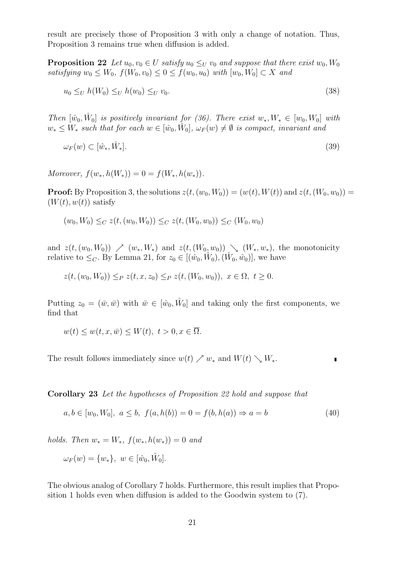result are precisely those of Proposition 3 with only a change of notation. Thus, Proposition 3 remains true when diffusion is added.

**Proposition 22** Let  $u_0, v_0 \in U$  satisfy  $u_0 \leq_U v_0$  and suppose that there exist  $w_0, W_0$ satisfying  $w_0 \leq W_0$ ,  $f(W_0, v_0) \leq 0 \leq f(w_0, u_0)$  with  $[w_0, W_0] \subset X$  and

$$
u_0 \leq_U h(W_0) \leq_U h(w_0) \leq_U v_0. \tag{38}
$$

Then  $[\hat{w}_0, \hat{W}_0]$  is positively invariant for (36). There exist  $w_*, W_* \in [w_0, W_0]$  with  $w_* \leq W_*$  such that for each  $w \in [\hat{w}_0, \hat{W}_0], \omega_F(w) \neq \emptyset$  is compact, invariant and

$$
\omega_F(w) \subset [\hat{w}_*, \hat{W}_*]. \tag{39}
$$

Moreover,  $f(w_*, h(W_*)) = 0 = f(W_*, h(w_*)).$ 

**Proof:** By Proposition 3, the solutions  $z(t,(w_0, W_0)) = (w(t), W(t))$  and  $z(t,(W_0, w_0)) =$  $(W(t), w(t))$  satisfy

$$
(w_0, W_0) \leq_C z(t, (w_0, W_0)) \leq_C z(t, (W_0, w_0)) \leq_C (W_0, w_0)
$$

and  $z(t,(w_0,W_0)) \nearrow (w_*,W_*)$  and  $z(t,(W_0,w_0)) \searrow (W_*,w_*)$ , the monotonicity relative to  $\leq_C$ . By Lemma 21, for  $z_0 \in [(\hat{w}_0, \hat{W}_0), (\hat{W}_0, \hat{w}_0)]$ , we have

$$
z(t, (w_0, W_0)) \leq_P z(t, x, z_0) \leq_P z(t, (W_0, w_0)), \ x \in \Omega, \ t \geq 0.
$$

Putting  $z_0 = (\bar{w}, \bar{w})$  with  $\bar{w} \in [\hat{w}_0, \hat{W}_0]$  and taking only the first components, we find that

$$
w(t) \le w(t, x, \bar{w}) \le W(t), \ t > 0, x \in \overline{\Omega}.
$$

The result follows immediately since  $w(t) \nearrow w_*$  and  $W(t) \searrow W_*$ .

Corollary 23 Let the hypotheses of Proposition 22 hold and suppose that

$$
a, b \in [w_0, W_0], \ a \le b, \ f(a, h(b)) = 0 = f(b, h(a)) \Rightarrow a = b \tag{40}
$$

holds. Then  $w_* = W_*$ ,  $f(w_*, h(w_*) ) = 0$  and

$$
\omega_F(w) = \{w_*\}, \ w \in [\hat{w}_0, \hat{W}_0].
$$

The obvious analog of Corollary 7 holds. Furthermore, this result implies that Proposition 1 holds even when diffusion is added to the Goodwin system to (7).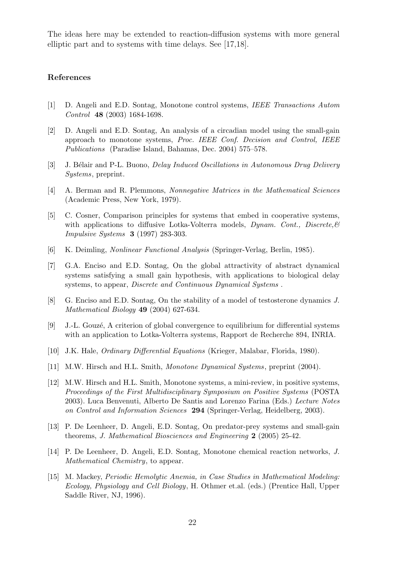The ideas here may be extended to reaction-diffusion systems with more general elliptic part and to systems with time delays. See [17,18].

#### References

- [1] D. Angeli and E.D. Sontag, Monotone control systems, IEEE Transactions Autom Control 48 (2003) 1684-1698.
- [2] D. Angeli and E.D. Sontag, An analysis of a circadian model using the small-gain approach to monotone systems, Proc. IEEE Conf. Decision and Control, IEEE Publications (Paradise Island, Bahamas, Dec. 2004) 575–578.
- [3] J. Bélair and P-L. Buono, *Delay Induced Oscillations in Autonomous Drug Delivery* Systems, preprint.
- [4] A. Berman and R. Plemmons, Nonnegative Matrices in the Mathematical Sciences (Academic Press, New York, 1979).
- [5] C. Cosner, Comparison principles for systems that embed in cooperative systems, with applications to diffusive Lotka-Volterra models, Dynam. Cont., Discrete,  $\mathcal{C}$ Impulsive Systems 3 (1997) 283-303.
- [6] K. Deimling, Nonlinear Functional Analysis (Springer-Verlag, Berlin, 1985).
- [7] G.A. Enciso and E.D. Sontag, On the global attractivity of abstract dynamical systems satisfying a small gain hypothesis, with applications to biological delay systems, to appear, *Discrete and Continuous Dynamical Systems*.
- [8] G. Enciso and E.D. Sontag, On the stability of a model of testosterone dynamics J. Mathematical Biology 49 (2004) 627-634.
- [9] J.-L. Gouzé, A criterion of global convergence to equilibrium for differential systems with an application to Lotka-Volterra systems, Rapport de Recherche 894, INRIA.
- [10] J.K. Hale, Ordinary Differential Equations (Krieger, Malabar, Florida, 1980).
- [11] M.W. Hirsch and H.L. Smith, Monotone Dynamical Systems, preprint (2004).
- [12] M.W. Hirsch and H.L. Smith, Monotone systems, a mini-review, in positive systems, Proceedings of the First Multidisciplinary Symposium on Positive Systems (POSTA 2003). Luca Benvenuti, Alberto De Santis and Lorenzo Farina (Eds.) Lecture Notes on Control and Information Sciences 294 (Springer-Verlag, Heidelberg, 2003).
- [13] P. De Leenheer, D. Angeli, E.D. Sontag, On predator-prey systems and small-gain theorems, J. Mathematical Biosciences and Engineering 2 (2005) 25-42.
- [14] P. De Leenheer, D. Angeli, E.D. Sontag, Monotone chemical reaction networks, J. Mathematical Chemistry, to appear.
- [15] M. Mackey, Periodic Hemolytic Anemia, in Case Studies in Mathematical Modeling: Ecology, Physiology and Cell Biology, H. Othmer et.al. (eds.) (Prentice Hall, Upper Saddle River, NJ, 1996).